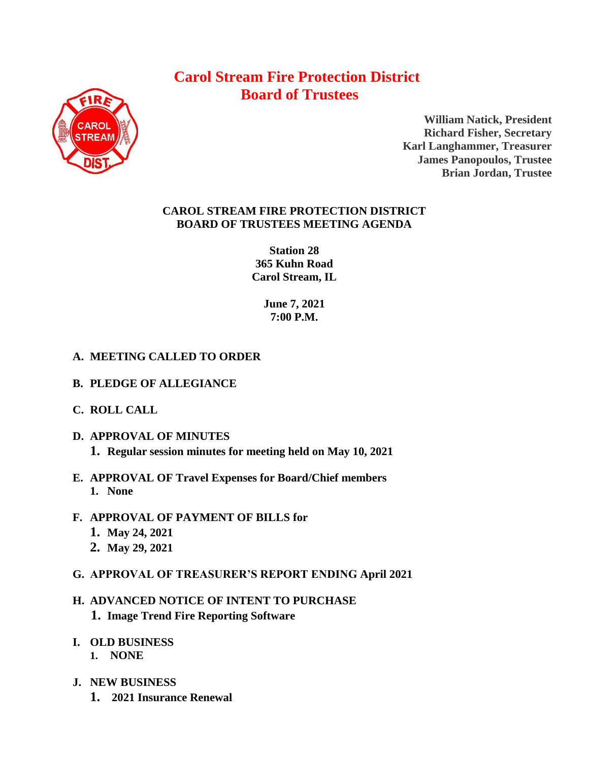# **Carol Stream Fire Protection District Board of Trustees**



**William Natick, President Richard Fisher, Secretary Karl Langhammer, Treasurer James Panopoulos, Trustee Brian Jordan, Trustee**

### **CAROL STREAM FIRE PROTECTION DISTRICT BOARD OF TRUSTEES MEETING AGENDA**

**Station 28 365 Kuhn Road Carol Stream, IL** 

> **June 7, 2021 7:00 P.M.**

## **A. MEETING CALLED TO ORDER**

- **B. PLEDGE OF ALLEGIANCE**
- **C. ROLL CALL**
- **D. APPROVAL OF MINUTES 1. Regular session minutes for meeting held on May 10, 2021**
- **E. APPROVAL OF Travel Expenses for Board/Chief members 1. None**
- **F. APPROVAL OF PAYMENT OF BILLS for**
	- **1. May 24, 2021**
	- **2. May 29, 2021**
- **G. APPROVAL OF TREASURER'S REPORT ENDING April 2021**
- **H. ADVANCED NOTICE OF INTENT TO PURCHASE 1. Image Trend Fire Reporting Software**
- **I. OLD BUSINESS 1. NONE**
- **J. NEW BUSINESS**
	- **1. 2021 Insurance Renewal**